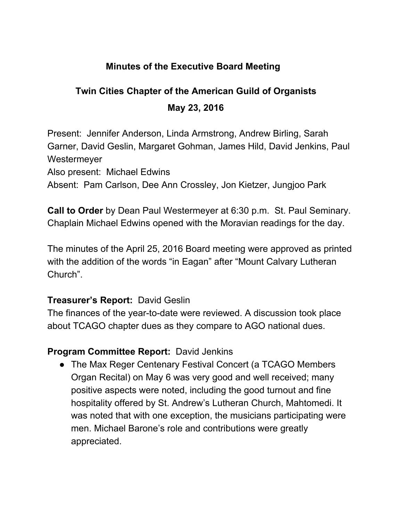## **Minutes of the Executive Board Meeting**

# **Twin Cities Chapter of the American Guild of Organists May 23, 2016**

Present: Jennifer Anderson, Linda Armstrong, Andrew Birling, Sarah Garner, David Geslin, Margaret Gohman, James Hild, David Jenkins, Paul **Westermeyer** 

Also present: Michael Edwins

Absent: Pam Carlson, Dee Ann Crossley, Jon Kietzer, Jungjoo Park

**Call to Order**by Dean Paul Westermeyer at 6:30 p.m. St. Paul Seminary. Chaplain Michael Edwins opened with the Moravian readings for the day.

The minutes of the April 25, 2016 Board meeting were approved as printed with the addition of the words "in Eagan" after "Mount Calvary Lutheran Church".

#### **Treasurer's Report: David Geslin**

The finances of the year-to-date were reviewed. A discussion took place about TCAGO chapter dues as they compare to AGO national dues.

## **Program Committee Report: David Jenkins**

• The Max Reger Centenary Festival Concert (a TCAGO Members Organ Recital) on May 6 was very good and well received; many positive aspects were noted, including the good turnout and fine hospitality offered by St. Andrew's Lutheran Church, Mahtomedi. It was noted that with one exception, the musicians participating were men. Michael Barone's role and contributions were greatly appreciated.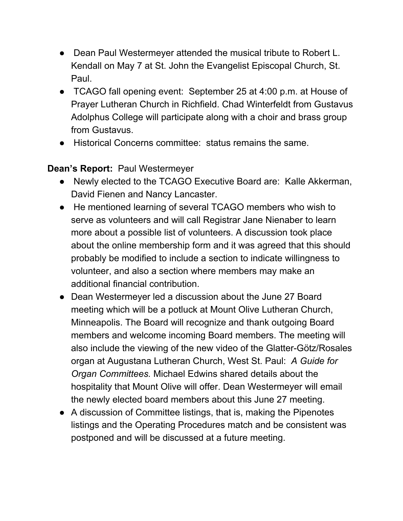- Dean Paul Westermeyer attended the musical tribute to Robert L. Kendall on May 7 at St. John the Evangelist Episcopal Church, St. Paul.
- TCAGO fall opening event: September 25 at 4:00 p.m. at House of Prayer Lutheran Church in Richfield. Chad Winterfeldt from Gustavus Adolphus College will participate along with a choir and brass group from Gustavus.
- Historical Concerns committee: status remains the same.

## **Dean's Report: Paul Westermeyer**

- Newly elected to the TCAGO Executive Board are: Kalle Akkerman, David Fienen and Nancy Lancaster.
- He mentioned learning of several TCAGO members who wish to serve as volunteers and will call Registrar Jane Nienaber to learn more about a possible list of volunteers. A discussion took place about the online membership form and it was agreed that this should probably be modified to include a section to indicate willingness to volunteer, and also a section where members may make an additional financial contribution.
- Dean Westermeyer led a discussion about the June 27 Board meeting which will be a potluck at Mount Olive Lutheran Church, Minneapolis. The Board will recognize and thank outgoing Board members and welcome incoming Board members. The meeting will also include the viewing of the new video of the Glatter-Götz/Rosales organ at Augustana Lutheran Church, West St. Paul: *A Guide for Organ Committees.* Michael Edwins shared details about the hospitality that Mount Olive will offer. Dean Westermeyer will email the newly elected board members about this June 27 meeting.
- A discussion of Committee listings, that is, making the Pipenotes listings and the Operating Procedures match and be consistent was postponed and will be discussed at a future meeting.